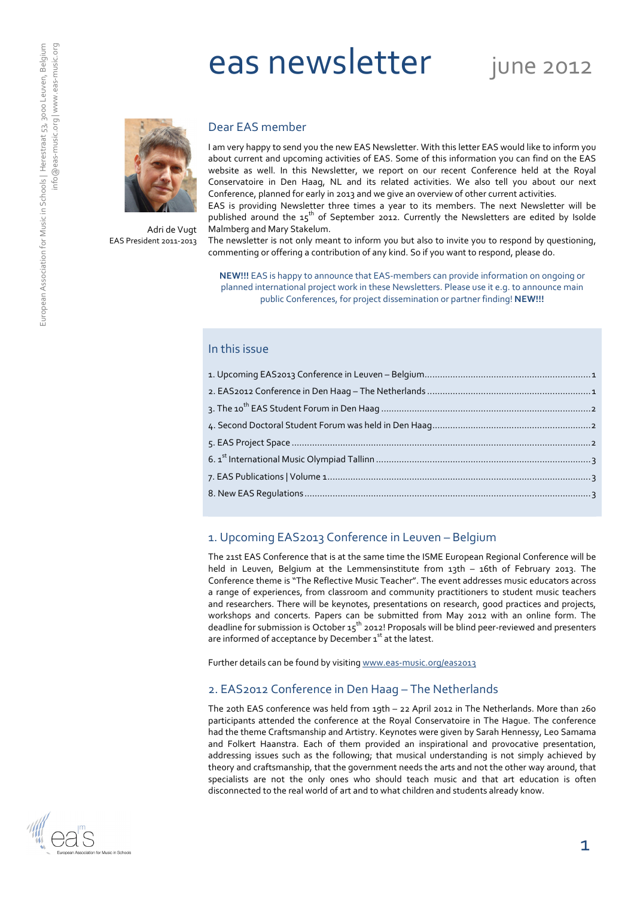# eas newsletter june 2012



Adri de Vugt EAS President 2011-2013

#### Dear EAS member

I am very happy to send you the new EAS Newsletter. With this letter EAS would like to inform you about current and upcoming activities of EAS. Some of this information you can find on the EAS website as well. In this Newsletter, we report on our recent Conference held at the Royal Conservatoire in Den Haag, NL and its related activities. We also tell you about our next Conference, planned for early in 2013 and we give an overview of other current activities.

EAS is providing Newsletter three times a year to its members. The next Newsletter will be published around the  $15<sup>th</sup>$  of September 2012. Currently the Newsletters are edited by Isolde Malmberg and Mary Stakelum.

The newsletter is not only meant to inform you but also to invite you to respond by questioning, commenting or offering a contribution of any kind. So if you want to respond, please do.

NEW!!! EAS is happy to announce that EAS-members can provide information on ongoing or planned international project work in these Newsletters. Please use it e.g. to announce main public Conferences, for project dissemination or partner finding! NEW!!!

#### In this issue

## 1. Upcoming EAS2013 Conference in Leuven – Belgium

The 21st EAS Conference that is at the same time the ISME European Regional Conference will be held in Leuven, Belgium at the Lemmensinstitute from 13th – 16th of February 2013. The Conference theme is "The Reflective Music Teacher". The event addresses music educators across a range of experiences, from classroom and community practitioners to student music teachers and researchers. There will be keynotes, presentations on research, good practices and projects, workshops and concerts. Papers can be submitted from May 2012 with an online form. The deadline for submission is October 15th 2012! Proposals will be blind peer-reviewed and presenters are informed of acceptance by December 1<sup>st</sup> at the latest.

Further details can be found by visiting www.eas-music.org/eas2013

### 2. EAS2012 Conference in Den Haag – The Netherlands

The 20th EAS conference was held from 19th – 22 April 2012 in The Netherlands. More than 260 participants attended the conference at the Royal Conservatoire in The Hague. The conference had the theme Craftsmanship and Artistry. Keynotes were given by Sarah Hennessy, Leo Samama and Folkert Haanstra. Each of them provided an inspirational and provocative presentation, addressing issues such as the following; that musical understanding is not simply achieved by theory and craftsmanship, that the government needs the arts and not the other way around, that specialists are not the only ones who should teach music and that art education is often disconnected to the real world of art and to what children and students already know.

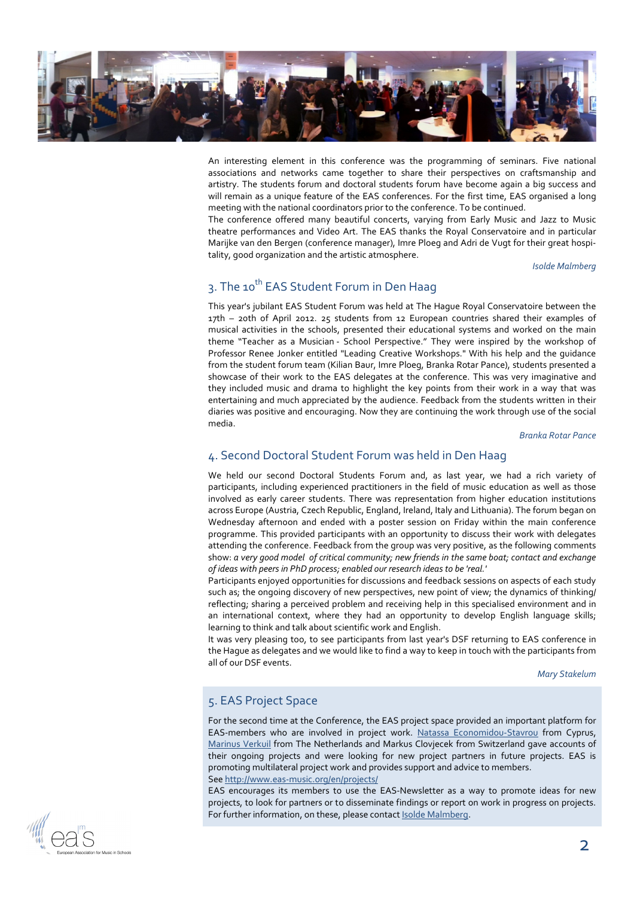

An interesting element in this conference was the programming of seminars. Five national associations and networks came together to share their perspectives on craftsmanship and artistry. The students forum and doctoral students forum have become again a big success and will remain as a unique feature of the EAS conferences. For the first time, EAS organised a long meeting with the national coordinators prior to the conference. To be continued.

The conference offered many beautiful concerts, varying from Early Music and Jazz to Music theatre performances and Video Art. The EAS thanks the Royal Conservatoire and in particular Marijke van den Bergen (conference manager), Imre Ploeg and Adri de Vugt for their great hospitality, good organization and the artistic atmosphere.

Isolde Malmberg

## 3. The 10<sup>th</sup> EAS Student Forum in Den Haag

This year's jubilant EAS Student Forum was held at The Hague Royal Conservatoire between the 17th – 20th of April 2012. 25 students from 12 European countries shared their examples of musical activities in the schools, presented their educational systems and worked on the main theme "Teacher as a Musician - School Perspective." They were inspired by the workshop of Professor Renee Jonker entitled "Leading Creative Workshops." With his help and the guidance from the student forum team (Kilian Baur, Imre Ploeg, Branka Rotar Pance), students presented a showcase of their work to the EAS delegates at the conference. This was very imaginative and they included music and drama to highlight the key points from their work in a way that was entertaining and much appreciated by the audience. Feedback from the students written in their diaries was positive and encouraging. Now they are continuing the work through use of the social media.

Branka Rotar Pance

## 4. Second Doctoral Student Forum was held in Den Haag

We held our second Doctoral Students Forum and, as last year, we had a rich variety of participants, including experienced practitioners in the field of music education as well as those involved as early career students. There was representation from higher education institutions across Europe (Austria, Czech Republic, England, Ireland, Italy and Lithuania). The forum began on Wednesday afternoon and ended with a poster session on Friday within the main conference programme. This provided participants with an opportunity to discuss their work with delegates attending the conference. Feedback from the group was very positive, as the following comments show: a very good model of critical community; new friends in the same boat; contact and exchange of ideas with peers in PhD process; enabled our research ideas to be 'real.'

Participants enjoyed opportunities for discussions and feedback sessions on aspects of each study such as; the ongoing discovery of new perspectives, new point of view; the dynamics of thinking/ reflecting; sharing a perceived problem and receiving help in this specialised environment and in an international context, where they had an opportunity to develop English language skills; learning to think and talk about scientific work and English.

It was very pleasing too, to see participants from last year's DSF returning to EAS conference in the Hague as delegates and we would like to find a way to keep in touch with the participants from all of our DSF events.

Mary Stakelum

### 5. EAS Project Space

For the second time at the Conference, the EAS project space provided an important platform for EAS-members who are involved in project work. Natassa Economidou-Stavrou from Cyprus, Marinus Verkuil from The Netherlands and Markus Clovjecek from Switzerland gave accounts of their ongoing projects and were looking for new project partners in future projects. EAS is promoting multilateral project work and provides support and advice to members. See http://www.eas-music.org/en/projects/

EAS encourages its members to use the EAS-Newsletter as a way to promote ideas for new projects, to look for partners or to disseminate findings or report on work in progress on projects. For further information, on these, please contact **Isolde Malmberg**.

![](_page_1_Picture_15.jpeg)